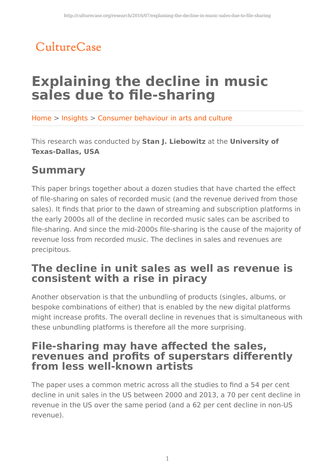## CultureCase

# **Explaining the decline in music sales due to file-sharing**

Home > Insights > Consumer behaviour in arts and culture

This research was conducted by **Stan J. Liebowitz** at the **University of Texas-Dallas, USA**

## **Summary**

This paper brings together about a dozen studies that have charted the effect of file-sharing on sales of recorded music (and the revenue derived from those sales). It finds that prior to the dawn of streaming and subscription platforms in the early 2000s all of the decline in recorded music sales can be ascribed to file-sharing. And since the mid-2000s file-sharing is the cause of the majority of revenue loss from recorded music. The declines in sales and revenues are precipitous.

## **The decline in unit sales as well as revenue is consistent with a rise in piracy**

Another observation is that the unbundling of products (singles, albums, or bespoke combinations of either) that is enabled by the new digital platforms might increase profits. The overall decline in revenues that is simultaneous with these unbundling platforms is therefore all the more surprising.

### **File-sharing may have affected the sales, revenues and profits of superstars differently from less well-known artists**

The paper uses a common metric across all the studies to find a 54 per cent decline in unit sales in the US between 2000 and 2013, a 70 per cent decline in revenue in the US over the same period (and a 62 per cent decline in non-US revenue).